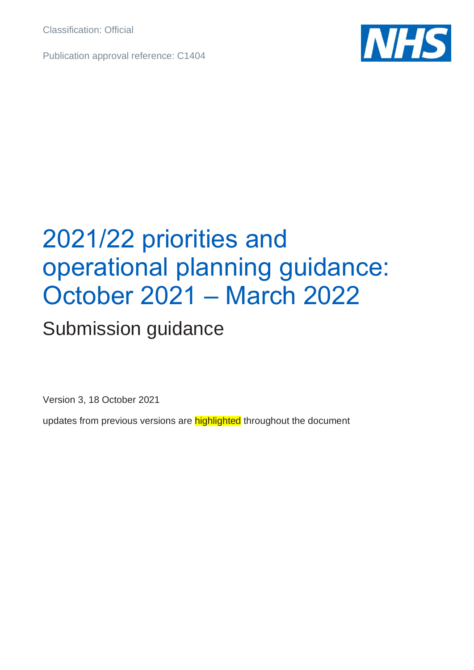Classification: Official

Publication approval reference: C1404



## 2021/22 priorities and operational planning guidance: October 2021 – March 2022

## Submission guidance

Version 3, 18 October 2021

updates from previous versions are **highlighted** throughout the document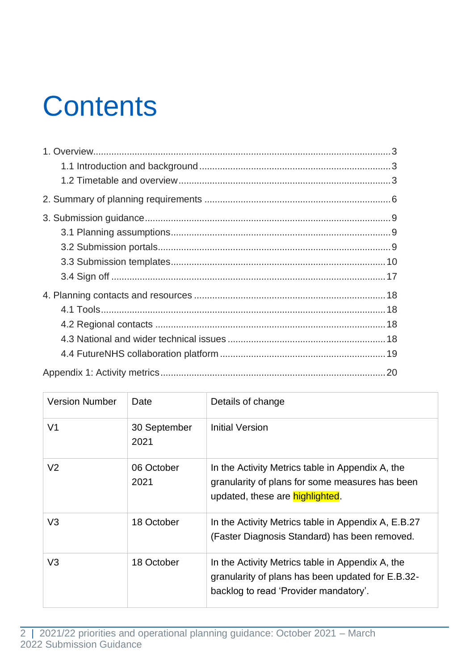# **Contents**

| <b>Version Number</b> | Date                 | Details of change                                                                                                                              |
|-----------------------|----------------------|------------------------------------------------------------------------------------------------------------------------------------------------|
| V <sub>1</sub>        | 30 September<br>2021 | Initial Version                                                                                                                                |
| V <sub>2</sub>        | 06 October<br>2021   | In the Activity Metrics table in Appendix A, the<br>granularity of plans for some measures has been<br>updated, these are <b>highlighted</b> . |
| V <sub>3</sub>        | 18 October           | In the Activity Metrics table in Appendix A, E.B.27<br>(Faster Diagnosis Standard) has been removed.                                           |
| V <sub>3</sub>        | 18 October           | In the Activity Metrics table in Appendix A, the<br>granularity of plans has been updated for E.B.32-<br>backlog to read 'Provider mandatory'. |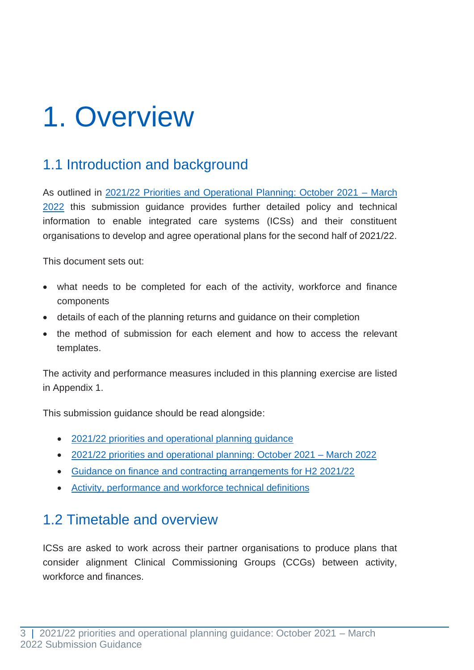## <span id="page-2-0"></span>1. Overview

### <span id="page-2-1"></span>1.1 Introduction and background

As outlined in [2021/22 Priorities and Operational Planning: October 2021 –](https://www.england.nhs.uk/publication/21-22-priorities-and-operational-planning-guidance-oct-21-march-2022/) March [2022](https://www.england.nhs.uk/publication/21-22-priorities-and-operational-planning-guidance-oct-21-march-2022/) this submission guidance provides further detailed policy and technical information to enable integrated care systems (ICSs) and their constituent organisations to develop and agree operational plans for the second half of 2021/22.

This document sets out:

- what needs to be completed for each of the activity, workforce and finance components
- details of each of the planning returns and guidance on their completion
- the method of submission for each element and how to access the relevant templates.

The activity and performance measures included in this planning exercise are listed in Appendix 1.

This submission guidance should be read alongside:

- [2021/22 priorities and operational planning guidance](https://www.england.nhs.uk/publication/2021-22-priorities-and-operational-planning-guidance/)
- [2021/22 priorities and operational planning: October 2021 –](https://www.england.nhs.uk/publication/21-22-priorities-and-operational-planning-guidance-oct-21-march-2022/) March 2022
- [Guidance on finance and contracting arrangements for H2 2021/22](https://www.england.nhs.uk/publication/guidance-on-finance-and-contracting-arrangements-for-h2-21-22/)
- [Activity, performance and workforce technical definitions](https://www.england.nhs.uk/publication/21-22-priorities-and-operational-planning-guidance-oct-2021-march-2022-activity-performance-and-workforce-technical-definitions/)

### <span id="page-2-2"></span>1.2 Timetable and overview

ICSs are asked to work across their partner organisations to produce plans that consider alignment Clinical Commissioning Groups (CCGs) between activity, workforce and finances.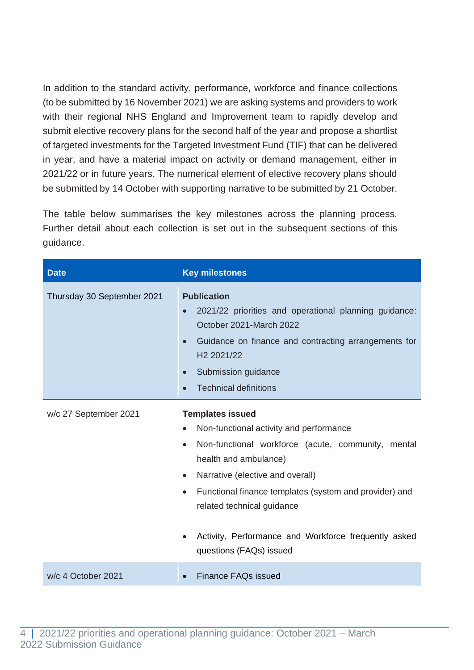In addition to the standard activity, performance, workforce and finance collections (to be submitted by 16 November 2021) we are asking systems and providers to work with their regional NHS England and Improvement team to rapidly develop and submit elective recovery plans for the second half of the year and propose a shortlist of targeted investments for the Targeted Investment Fund (TIF) that can be delivered in year, and have a material impact on activity or demand management, either in 2021/22 or in future years. The numerical element of elective recovery plans should be submitted by 14 October with supporting narrative to be submitted by 21 October.

The table below summarises the key milestones across the planning process. Further detail about each collection is set out in the subsequent sections of this guidance.

| <b>Date</b>                | <b>Key milestones</b>                                                                                                                                                                                                                                                                                                                                                                                                             |
|----------------------------|-----------------------------------------------------------------------------------------------------------------------------------------------------------------------------------------------------------------------------------------------------------------------------------------------------------------------------------------------------------------------------------------------------------------------------------|
| Thursday 30 September 2021 | <b>Publication</b><br>2021/22 priorities and operational planning guidance:<br>$\bullet$<br>October 2021-March 2022<br>Guidance on finance and contracting arrangements for<br>$\bullet$<br>H <sub>2</sub> 2021/22<br>Submission guidance<br>$\bullet$<br><b>Technical definitions</b><br>$\bullet$                                                                                                                               |
| w/c 27 September 2021      | <b>Templates issued</b><br>Non-functional activity and performance<br>$\bullet$<br>Non-functional workforce (acute, community, mental<br>$\bullet$<br>health and ambulance)<br>Narrative (elective and overall)<br>$\bullet$<br>Functional finance templates (system and provider) and<br>$\bullet$<br>related technical guidance<br>Activity, Performance and Workforce frequently asked<br>$\bullet$<br>questions (FAQs) issued |
| w/c 4 October 2021         | <b>Finance FAQs issued</b>                                                                                                                                                                                                                                                                                                                                                                                                        |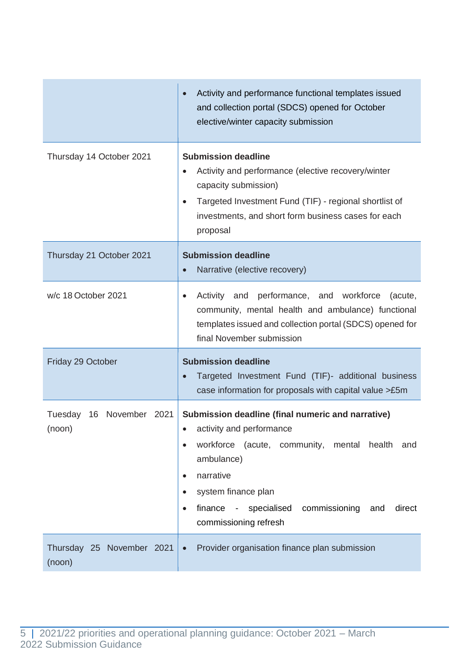|                                          | Activity and performance functional templates issued<br>and collection portal (SDCS) opened for October<br>elective/winter capacity submission                                                                                                                                                                  |  |  |
|------------------------------------------|-----------------------------------------------------------------------------------------------------------------------------------------------------------------------------------------------------------------------------------------------------------------------------------------------------------------|--|--|
| Thursday 14 October 2021                 | <b>Submission deadline</b><br>Activity and performance (elective recovery/winter<br>capacity submission)<br>Targeted Investment Fund (TIF) - regional shortlist of<br>$\bullet$<br>investments, and short form business cases for each<br>proposal                                                              |  |  |
| Thursday 21 October 2021                 | <b>Submission deadline</b><br>Narrative (elective recovery)                                                                                                                                                                                                                                                     |  |  |
| w/c 18 October 2021                      | performance, and workforce<br>Activity and<br>(acute,<br>$\bullet$<br>community, mental health and ambulance) functional<br>templates issued and collection portal (SDCS) opened for<br>final November submission                                                                                               |  |  |
| Friday 29 October                        | <b>Submission deadline</b><br>Targeted Investment Fund (TIF)- additional business<br>case information for proposals with capital value >£5m                                                                                                                                                                     |  |  |
| November 2021<br>Tuesday<br>16<br>(noon) | Submission deadline (final numeric and narrative)<br>activity and performance<br>workforce (acute, community, mental health<br>and<br>ambulance)<br>narrative<br>$\bullet$<br>system finance plan<br>$\bullet$<br>finance - specialised<br>commissioning<br>direct<br>and<br>$\bullet$<br>commissioning refresh |  |  |
| Thursday 25 November 2021<br>(noon)      | Provider organisation finance plan submission<br>$\bullet$                                                                                                                                                                                                                                                      |  |  |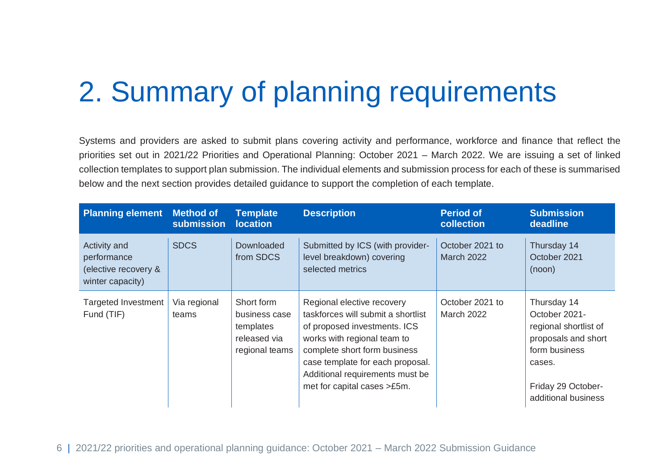## 2. Summary of planning requirements

Systems and providers are asked to submit plans covering activity and performance, workforce and finance that reflect the priorities set out in 2021/22 Priorities and Operational Planning: October 2021 – March 2022. We are issuing a set of linked collection templates to support plan submission. The individual elements and submission process for each of these is summarised below and the next section provides detailed guidance to support the completion of each template.

<span id="page-5-0"></span>

| <b>Planning element</b>                                                 | <b>Method of</b><br>submission | <b>Template</b><br><b>location</b>                                         | <b>Description</b>                                                                                                                                                                                                                                                    | <b>Period of</b><br>collection       | <b>Submission</b><br>deadline                                                                                                                        |
|-------------------------------------------------------------------------|--------------------------------|----------------------------------------------------------------------------|-----------------------------------------------------------------------------------------------------------------------------------------------------------------------------------------------------------------------------------------------------------------------|--------------------------------------|------------------------------------------------------------------------------------------------------------------------------------------------------|
| Activity and<br>performance<br>(elective recovery &<br>winter capacity) | <b>SDCS</b>                    | Downloaded<br>from SDCS                                                    | Submitted by ICS (with provider-<br>level breakdown) covering<br>selected metrics                                                                                                                                                                                     | October 2021 to<br><b>March 2022</b> | Thursday 14<br>October 2021<br>(noon)                                                                                                                |
| <b>Targeted Investment</b><br>Fund (TIF)                                | Via regional<br>teams          | Short form<br>business case<br>templates<br>released via<br>regional teams | Regional elective recovery<br>taskforces will submit a shortlist<br>of proposed investments. ICS<br>works with regional team to<br>complete short form business<br>case template for each proposal.<br>Additional requirements must be<br>met for capital cases >£5m. | October 2021 to<br><b>March 2022</b> | Thursday 14<br>October 2021-<br>regional shortlist of<br>proposals and short<br>form business<br>cases.<br>Friday 29 October-<br>additional business |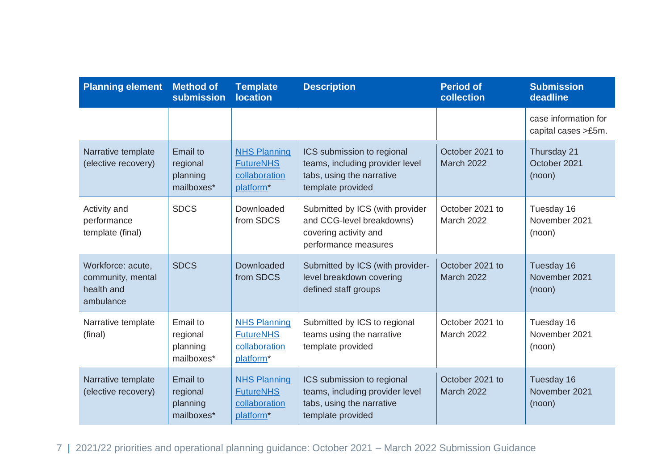| <b>Planning element</b>                                           | <b>Method of</b><br>submission                        | <b>Template</b><br><b>location</b>                                                | <b>Description</b>                                                                                              | <b>Period of</b><br>collection       | <b>Submission</b><br>deadline               |
|-------------------------------------------------------------------|-------------------------------------------------------|-----------------------------------------------------------------------------------|-----------------------------------------------------------------------------------------------------------------|--------------------------------------|---------------------------------------------|
|                                                                   |                                                       |                                                                                   |                                                                                                                 |                                      | case information for<br>capital cases >£5m. |
| Narrative template<br>(elective recovery)                         | Email to<br>regional<br>planning<br>mailboxes*        | <b>NHS Planning</b><br><b>FutureNHS</b><br>collaboration<br>platform <sup>*</sup> | ICS submission to regional<br>teams, including provider level<br>tabs, using the narrative<br>template provided | October 2021 to<br><b>March 2022</b> | Thursday 21<br>October 2021<br>(noon)       |
| Activity and<br>performance<br>template (final)                   | <b>SDCS</b>                                           | Downloaded<br>from SDCS                                                           | Submitted by ICS (with provider<br>and CCG-level breakdowns)<br>covering activity and<br>performance measures   | October 2021 to<br><b>March 2022</b> | Tuesday 16<br>November 2021<br>(noon)       |
| Workforce: acute,<br>community, mental<br>health and<br>ambulance | <b>SDCS</b>                                           | Downloaded<br>from SDCS                                                           | Submitted by ICS (with provider-<br>level breakdown covering<br>defined staff groups                            | October 2021 to<br><b>March 2022</b> | Tuesday 16<br>November 2021<br>(noon)       |
| Narrative template<br>(final)                                     | Email to<br>regional<br>planning<br>mailboxes*        | <b>NHS Planning</b><br><b>FutureNHS</b><br>collaboration<br>platform*             | Submitted by ICS to regional<br>teams using the narrative<br>template provided                                  | October 2021 to<br><b>March 2022</b> | Tuesday 16<br>November 2021<br>(noon)       |
| Narrative template<br>(elective recovery)                         | <b>Email to</b><br>regional<br>planning<br>mailboxes* | <b>NHS Planning</b><br><b>FutureNHS</b><br>collaboration<br>platform <sup>*</sup> | ICS submission to regional<br>teams, including provider level<br>tabs, using the narrative<br>template provided | October 2021 to<br><b>March 2022</b> | Tuesday 16<br>November 2021<br>(noon)       |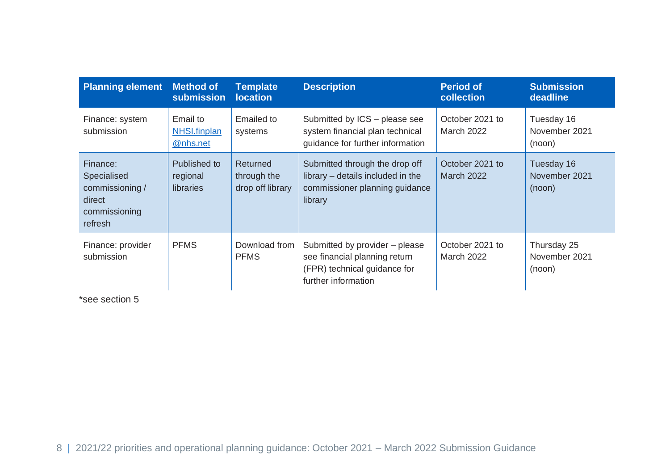| <b>Planning element</b>                                                          | <b>Method of</b><br><b>submission</b> | <b>Template</b><br><b>location</b>          | <b>Description</b>                                                                                                     | <b>Period of</b><br>collection       | <b>Submission</b><br>deadline          |
|----------------------------------------------------------------------------------|---------------------------------------|---------------------------------------------|------------------------------------------------------------------------------------------------------------------------|--------------------------------------|----------------------------------------|
| Finance: system<br>submission                                                    | Email to<br>NHSI.finplan<br>@nhs.net  | Emailed to<br>systems                       | Submitted by ICS - please see<br>system financial plan technical<br>quidance for further information                   | October 2021 to<br><b>March 2022</b> | Tuesday 16<br>November 2021<br>(noon)  |
| Finance:<br>Specialised<br>commissioning /<br>direct<br>commissioning<br>refresh | Published to<br>regional<br>libraries | Returned<br>through the<br>drop off library | Submitted through the drop off<br>library – details included in the<br>commissioner planning guidance<br>library       | October 2021 to<br><b>March 2022</b> | Tuesday 16<br>November 2021<br>(noon)  |
| Finance: provider<br>submission                                                  | <b>PFMS</b>                           | Download from<br><b>PFMS</b>                | Submitted by provider – please<br>see financial planning return<br>(FPR) technical guidance for<br>further information | October 2021 to<br><b>March 2022</b> | Thursday 25<br>November 2021<br>(noon) |

\*see section 5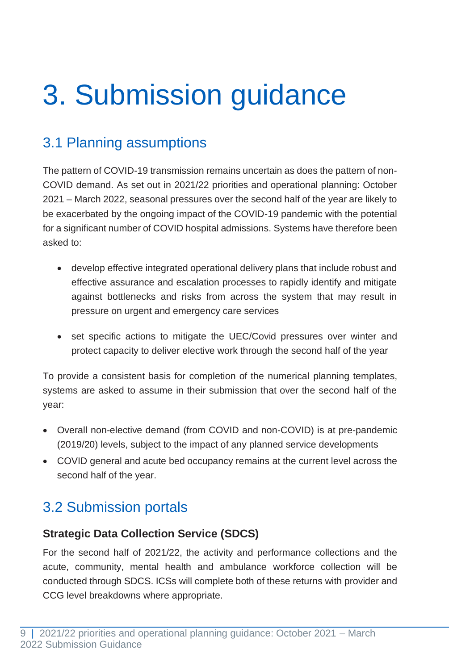# <span id="page-8-0"></span>3. Submission guidance

## <span id="page-8-1"></span>3.1 Planning assumptions

The pattern of COVID-19 transmission remains uncertain as does the pattern of non-COVID demand. As set out in 2021/22 priorities and operational planning: October 2021 – March 2022, seasonal pressures over the second half of the year are likely to be exacerbated by the ongoing impact of the COVID-19 pandemic with the potential for a significant number of COVID hospital admissions. Systems have therefore been asked to:

- develop effective integrated operational delivery plans that include robust and effective assurance and escalation processes to rapidly identify and mitigate against bottlenecks and risks from across the system that may result in pressure on urgent and emergency care services
- set specific actions to mitigate the UEC/Covid pressures over winter and protect capacity to deliver elective work through the second half of the year

To provide a consistent basis for completion of the numerical planning templates, systems are asked to assume in their submission that over the second half of the year:

- Overall non-elective demand (from COVID and non-COVID) is at pre-pandemic (2019/20) levels, subject to the impact of any planned service developments
- COVID general and acute bed occupancy remains at the current level across the second half of the year.

## <span id="page-8-2"></span>3.2 Submission portals

#### **Strategic Data Collection Service (SDCS)**

For the second half of 2021/22, the activity and performance collections and the acute, community, mental health and ambulance workforce collection will be conducted through SDCS. ICSs will complete both of these returns with provider and CCG level breakdowns where appropriate.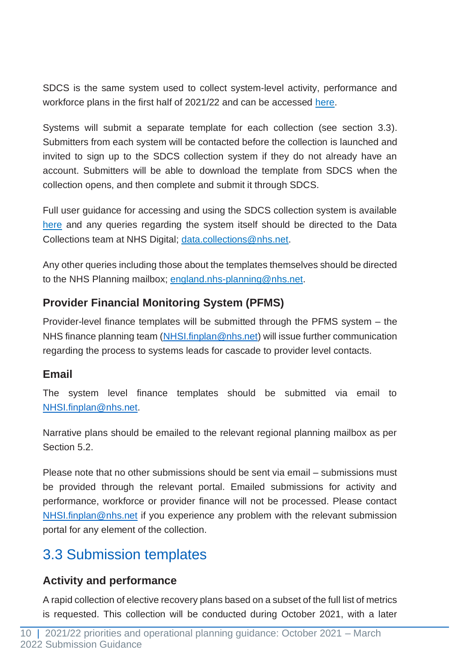SDCS is the same system used to collect system-level activity, performance and workforce plans in the first half of 2021/22 and can be accessed [here.](https://datacollection.sdcs.digital.nhs.uk/)

Systems will submit a separate template for each collection (see section 3.3). Submitters from each system will be contacted before the collection is launched and invited to sign up to the SDCS collection system if they do not already have an account. Submitters will be able to download the template from SDCS when the collection opens, and then complete and submit it through SDCS.

Full user guidance for accessing and using the SDCS collection system is available [here](https://digital.nhs.uk/services/strategic-data-collection-service-sdcs/strategic-data-collection-service-for-general-collections---user-guidance) and any queries regarding the system itself should be directed to the Data Collections team at NHS Digital; [data.collections@nhs.net.](mailto:data.collections@nhs.net)

Any other queries including those about the templates themselves should be directed to the NHS Planning mailbox; [england.nhs-planning@nhs.net.](mailto:england.nhs-planning@nhs.net)

#### **Provider Financial Monitoring System (PFMS)**

Provider-level finance templates will be submitted through the PFMS system – the NHS finance planning team [\(NHSI.finplan@nhs.net\)](mailto:NHSI.finplan@nhs.net) will issue further communication regarding the process to systems leads for cascade to provider level contacts.

#### **Email**

The system level finance templates should be submitted via email to [NHSI.finplan@nhs.net.](mailto:NHSI.finplan@nhs.net)

Narrative plans should be emailed to the relevant regional planning mailbox as per Section 5.2.

Please note that no other submissions should be sent via email – submissions must be provided through the relevant portal. Emailed submissions for activity and performance, workforce or provider finance will not be processed. Please contact [NHSI.finplan@nhs.net](mailto:NHSI.finplan@nhs.net) if you experience any problem with the relevant submission portal for any element of the collection.

## <span id="page-9-0"></span>3.3 Submission templates

#### **Activity and performance**

A rapid collection of elective recovery plans based on a subset of the full list of metrics is requested. This collection will be conducted during October 2021, with a later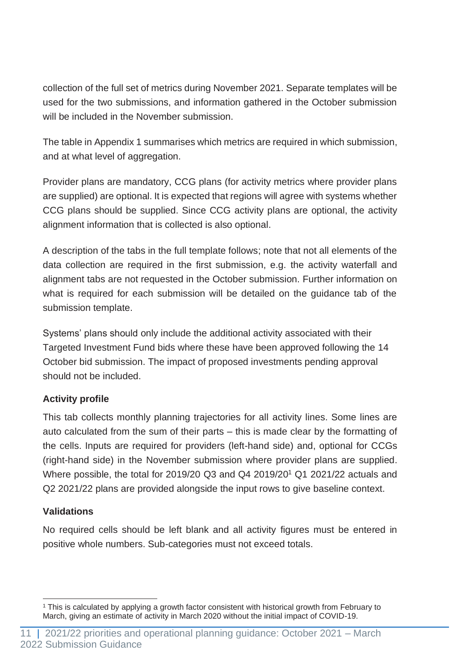collection of the full set of metrics during November 2021. Separate templates will be used for the two submissions, and information gathered in the October submission will be included in the November submission.

The table in Appendix 1 summarises which metrics are required in which submission, and at what level of aggregation.

Provider plans are mandatory, CCG plans (for activity metrics where provider plans are supplied) are optional. It is expected that regions will agree with systems whether CCG plans should be supplied. Since CCG activity plans are optional, the activity alignment information that is collected is also optional.

A description of the tabs in the full template follows; note that not all elements of the data collection are required in the first submission, e.g. the activity waterfall and alignment tabs are not requested in the October submission. Further information on what is required for each submission will be detailed on the guidance tab of the submission template.

Systems' plans should only include the additional activity associated with their Targeted Investment Fund bids where these have been approved following the 14 October bid submission. The impact of proposed investments pending approval should not be included.

#### **Activity profile**

This tab collects monthly planning trajectories for all activity lines. Some lines are auto calculated from the sum of their parts – this is made clear by the formatting of the cells. Inputs are required for providers (left-hand side) and, optional for CCGs (right-hand side) in the November submission where provider plans are supplied. Where possible, the total for 2019/20 Q3 and Q4 2019/20<sup>1</sup> Q1 2021/22 actuals and Q2 2021/22 plans are provided alongside the input rows to give baseline context.

#### **Validations**

No required cells should be left blank and all activity figures must be entered in positive whole numbers. Sub-categories must not exceed totals.

<sup>1</sup> This is calculated by applying a growth factor consistent with historical growth from February to March, giving an estimate of activity in March 2020 without the initial impact of COVID-19.

<sup>11 | 2021/22</sup> priorities and operational planning guidance: October 2021 – March 2022 Submission Guidance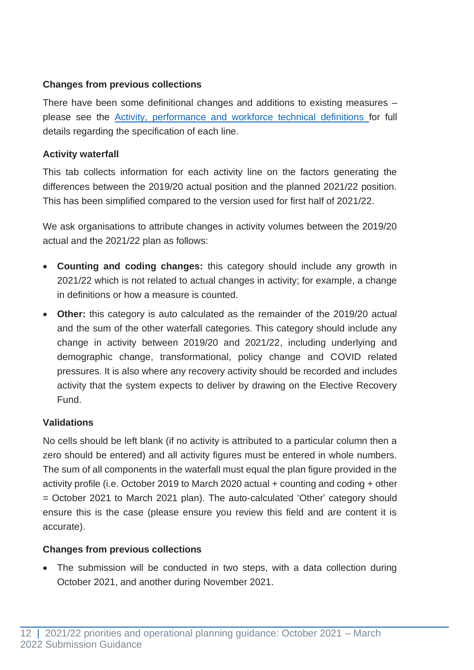#### **Changes from previous collections**

There have been some definitional changes and additions to existing measures – please see the [Activity, performance and workforce technical definitions](https://www.england.nhs.uk/publication/21-22-priorities-and-operational-planning-guidance-oct-2021-march-2022-activity-performance-and-workforce-technical-definitions/) for full details regarding the specification of each line.

#### **Activity waterfall**

This tab collects information for each activity line on the factors generating the differences between the 2019/20 actual position and the planned 2021/22 position. This has been simplified compared to the version used for first half of 2021/22.

We ask organisations to attribute changes in activity volumes between the 2019/20 actual and the 2021/22 plan as follows:

- **Counting and coding changes:** this category should include any growth in 2021/22 which is not related to actual changes in activity; for example, a change in definitions or how a measure is counted.
- **Other:** this category is auto calculated as the remainder of the 2019/20 actual and the sum of the other waterfall categories. This category should include any change in activity between 2019/20 and 2021/22, including underlying and demographic change, transformational, policy change and COVID related pressures. It is also where any recovery activity should be recorded and includes activity that the system expects to deliver by drawing on the Elective Recovery Fund.

#### **Validations**

No cells should be left blank (if no activity is attributed to a particular column then a zero should be entered) and all activity figures must be entered in whole numbers. The sum of all components in the waterfall must equal the plan figure provided in the activity profile (i.e. October 2019 to March 2020 actual + counting and coding + other = October 2021 to March 2021 plan). The auto-calculated 'Other' category should ensure this is the case (please ensure you review this field and are content it is accurate).

#### **Changes from previous collections**

• The submission will be conducted in two steps, with a data collection during October 2021, and another during November 2021.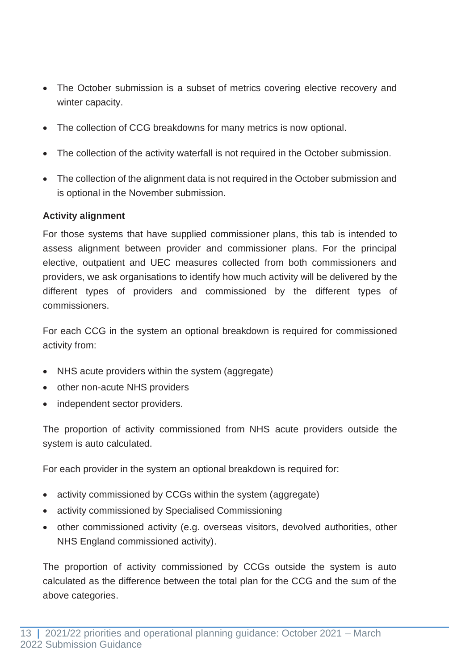- The October submission is a subset of metrics covering elective recovery and winter capacity.
- The collection of CCG breakdowns for many metrics is now optional.
- The collection of the activity waterfall is not required in the October submission.
- The collection of the alignment data is not required in the October submission and is optional in the November submission.

#### **Activity alignment**

For those systems that have supplied commissioner plans, this tab is intended to assess alignment between provider and commissioner plans. For the principal elective, outpatient and UEC measures collected from both commissioners and providers, we ask organisations to identify how much activity will be delivered by the different types of providers and commissioned by the different types of commissioners.

For each CCG in the system an optional breakdown is required for commissioned activity from:

- NHS acute providers within the system (aggregate)
- other non-acute NHS providers
- independent sector providers.

The proportion of activity commissioned from NHS acute providers outside the system is auto calculated.

For each provider in the system an optional breakdown is required for:

- activity commissioned by CCGs within the system (aggregate)
- activity commissioned by Specialised Commissioning
- other commissioned activity (e.g. overseas visitors, devolved authorities, other NHS England commissioned activity).

The proportion of activity commissioned by CCGs outside the system is auto calculated as the difference between the total plan for the CCG and the sum of the above categories.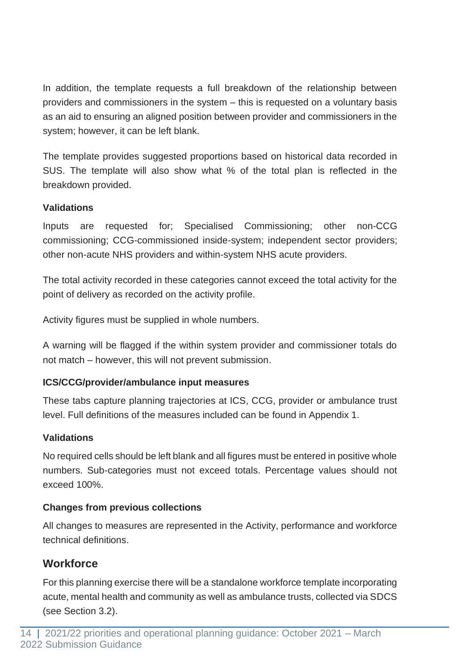In addition, the template requests a full breakdown of the relationship between providers and commissioners in the system – this is requested on a voluntary basis as an aid to ensuring an aligned position between provider and commissioners in the system; however, it can be left blank.

The template provides suggested proportions based on historical data recorded in SUS. The template will also show what % of the total plan is reflected in the breakdown provided.

#### **Validations**

Inputs are requested for; Specialised Commissioning; other non-CCG commissioning; CCG-commissioned inside-system; independent sector providers; other non-acute NHS providers and within-system NHS acute providers.

The total activity recorded in these categories cannot exceed the total activity for the point of delivery as recorded on the activity profile.

Activity figures must be supplied in whole numbers.

A warning will be flagged if the within system provider and commissioner totals do not match – however, this will not prevent submission.

#### **ICS/CCG/provider/ambulance input measures**

These tabs capture planning trajectories at ICS, CCG, provider or ambulance trust level. Full definitions of the measures included can be found in Appendix 1.

#### **Validations**

No required cells should be left blank and all figures must be entered in positive whole numbers. Sub-categories must not exceed totals. Percentage values should not exceed 100%.

#### **Changes from previous collections**

All changes to measures are represented in the Activity, performance and workforce technical definitions.

#### **Workforce**

For this planning exercise there will be a standalone workforce template incorporating acute, mental health and community as well as ambulance trusts, collected via SDCS (see Section 3.2).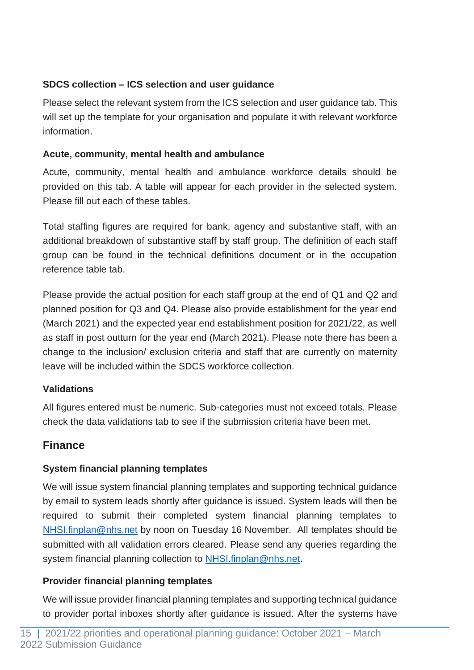#### **SDCS collection – ICS selection and user guidance**

Please select the relevant system from the ICS selection and user guidance tab. This will set up the template for your organisation and populate it with relevant workforce information.

#### **Acute, community, mental health and ambulance**

Acute, community, mental health and ambulance workforce details should be provided on this tab. A table will appear for each provider in the selected system. Please fill out each of these tables.

Total staffing figures are required for bank, agency and substantive staff, with an additional breakdown of substantive staff by staff group. The definition of each staff group can be found in the technical definitions document or in the occupation reference table tab.

Please provide the actual position for each staff group at the end of Q1 and Q2 and planned position for Q3 and Q4. Please also provide establishment for the year end (March 2021) and the expected year end establishment position for 2021/22, as well as staff in post outturn for the year end (March 2021). Please note there has been a change to the inclusion/ exclusion criteria and staff that are currently on maternity leave will be included within the SDCS workforce collection.

#### **Validations**

All figures entered must be numeric. Sub-categories must not exceed totals. Please check the data validations tab to see if the submission criteria have been met.

#### **Finance**

#### **System financial planning templates**

We will issue system financial planning templates and supporting technical guidance by email to system leads shortly after guidance is issued. System leads will then be required to submit their completed system financial planning templates to [NHSI.finplan@nhs.net](mailto:NHSI.finplan@nhs.net) by noon on Tuesday 16 November. All templates should be submitted with all validation errors cleared. Please send any queries regarding the system financial planning collection to [NHSI.finplan@nhs.net.](mailto:NHSI.finplan@nhs.net)

#### **Provider financial planning templates**

We will issue provider financial planning templates and supporting technical guidance to provider portal inboxes shortly after guidance is issued. After the systems have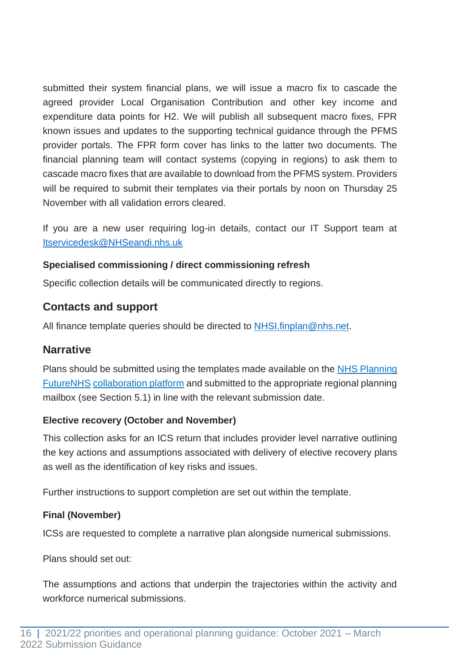submitted their system financial plans, we will issue a macro fix to cascade the agreed provider Local Organisation Contribution and other key income and expenditure data points for H2. We will publish all subsequent macro fixes, FPR known issues and updates to the supporting technical guidance through the PFMS provider portals. The FPR form cover has links to the latter two documents. The financial planning team will contact systems (copying in regions) to ask them to cascade macro fixes that are available to download from the PFMS system. Providers will be required to submit their templates via their portals by noon on Thursday 25 November with all validation errors cleared.

If you are a new user requiring log-in details, contact our IT Support team at [Itservicedesk@NHSeandi.nhs.uk](mailto:Itservicedesk@NHSeandi.nhs.uk)

#### **Specialised commissioning / direct commissioning refresh**

Specific collection details will be communicated directly to regions.

#### **Contacts and support**

All finance template queries should be directed to [NHSI.finplan@nhs.net.](mailto:NHSI.finplan@nhs.net)

#### **Narrative**

Plans should be submitted using the templates made available on the NHS Planning [FutureNHS](https://future.nhs.uk/connect.ti/nationalplanning/grouphome) [collaboration platform](https://future.nhs.uk/connect.ti/nationalplanning/grouphome) and submitted to the appropriate regional planning mailbox (see Section 5.1) in line with the relevant submission date.

#### **Elective recovery (October and November)**

This collection asks for an ICS return that includes provider level narrative outlining the key actions and assumptions associated with delivery of elective recovery plans as well as the identification of key risks and issues.

Further instructions to support completion are set out within the template.

#### **Final (November)**

ICSs are requested to complete a narrative plan alongside numerical submissions.

Plans should set out:

The assumptions and actions that underpin the trajectories within the activity and workforce numerical submissions.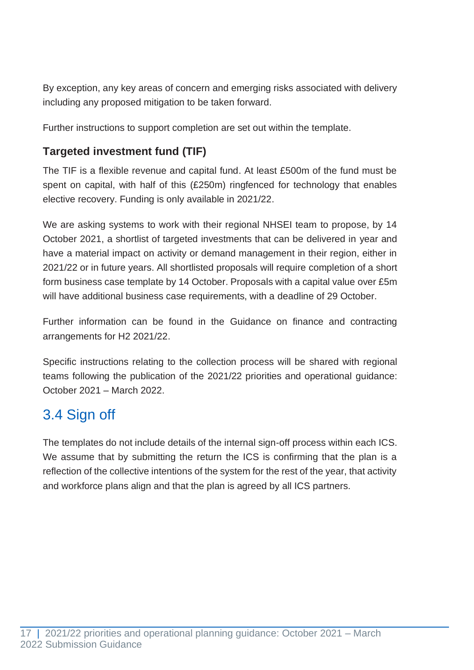By exception, any key areas of concern and emerging risks associated with delivery including any proposed mitigation to be taken forward.

Further instructions to support completion are set out within the template.

#### **Targeted investment fund (TIF)**

The TIF is a flexible revenue and capital fund. At least £500m of the fund must be spent on capital, with half of this (£250m) ringfenced for technology that enables elective recovery. Funding is only available in 2021/22.

We are asking systems to work with their regional NHSEI team to propose, by 14 October 2021, a shortlist of targeted investments that can be delivered in year and have a material impact on activity or demand management in their region, either in 2021/22 or in future years. All shortlisted proposals will require completion of a short form business case template by 14 October. Proposals with a capital value over £5m will have additional business case requirements, with a deadline of 29 October.

Further information can be found in the [Guidance on finance and contracting](https://www.england.nhs.uk/publication/guidance-on-finance-and-contracting-arrangements-for-h2-21-22/)  [arrangements for H2 2021/22.](https://www.england.nhs.uk/publication/guidance-on-finance-and-contracting-arrangements-for-h2-21-22/)

Specific instructions relating to the collection process will be shared with regional teams following the publication of the 2021/22 priorities and operational guidance: October 2021 – March 2022.

### <span id="page-16-0"></span>3.4 Sign off

The templates do not include details of the internal sign-off process within each ICS. We assume that by submitting the return the ICS is confirming that the plan is a reflection of the collective intentions of the system for the rest of the year, that activity and workforce plans align and that the plan is agreed by all ICS partners.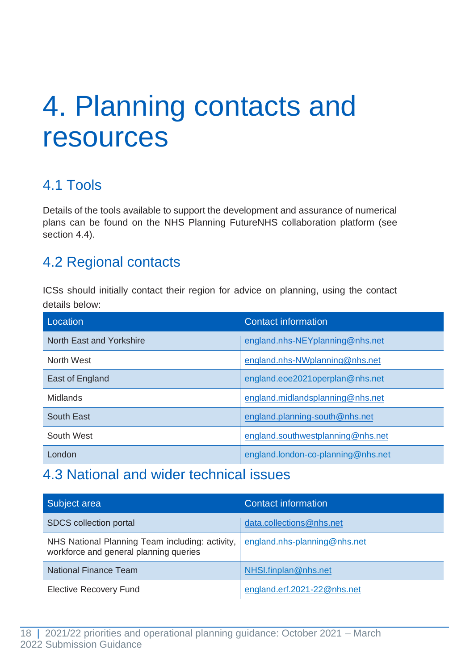## <span id="page-17-0"></span>4. Planning contacts and resources

## <span id="page-17-1"></span>4.1 Tools

Details of the tools available to support the development and assurance of numerical plans can be found on the [NHS Planning FutureNHS](https://future.nhs.uk/connect.ti/nationalplanning/grouphome) [collaboration platform \(](https://future.nhs.uk/connect.ti/nationalplanning/grouphome)see section 4.4).

### <span id="page-17-2"></span>4.2 Regional contacts

ICSs should initially contact their region for advice on planning, using the contact details below:

| Location                 | <b>Contact information</b>         |
|--------------------------|------------------------------------|
| North East and Yorkshire | england.nhs-NEYplanning@nhs.net    |
| North West               | england.nhs-NWplanning@nhs.net     |
| East of England          | england.eoe2021operplan@nhs.net    |
| <b>Midlands</b>          | england.midlandsplanning@nhs.net   |
| South East               | england.planning-south@nhs.net     |
| South West               | england.southwestplanning@nhs.net  |
| London                   | england.london-co-planning@nhs.net |

### <span id="page-17-3"></span>4.3 National and wider technical issues

| Subject area                                                                              | Contact information          |
|-------------------------------------------------------------------------------------------|------------------------------|
| SDCS collection portal                                                                    | data.collections@nhs.net     |
| NHS National Planning Team including: activity,<br>workforce and general planning queries | england.nhs-planning@nhs.net |
| <b>National Finance Team</b>                                                              | NHSI.finplan@nhs.net         |
| <b>Elective Recovery Fund</b>                                                             | england.erf.2021-22@nhs.net  |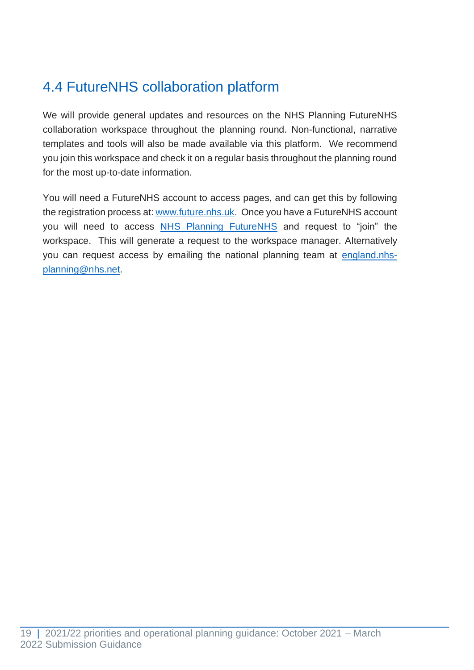## <span id="page-18-0"></span>4.4 FutureNHS collaboration platform

We will provide general updates and resources on the NHS Planning FutureNHS collaboration workspace throughout the planning round. Non-functional, narrative templates and tools will also be made available via this platform. We recommend you join this workspace and check it on a regular basis throughout the planning round for the most up-to-date information.

You will need a FutureNHS account to access pages, and can get this by following the registration process at: [www.future.nhs.uk.](http://www.future.nhs.uk/) Once you have a FutureNHS account you will need to access [NHS Planning FutureNHS](https://future.nhs.uk/nationalplanning/grouphome) and request to "join" the workspace. This will generate a request to the workspace manager. Alternatively you can request access by emailing the national planning team at [england.nhs](mailto:england.nhs-planning@nhs.net)[planning@nhs.net.](mailto:england.nhs-planning@nhs.net)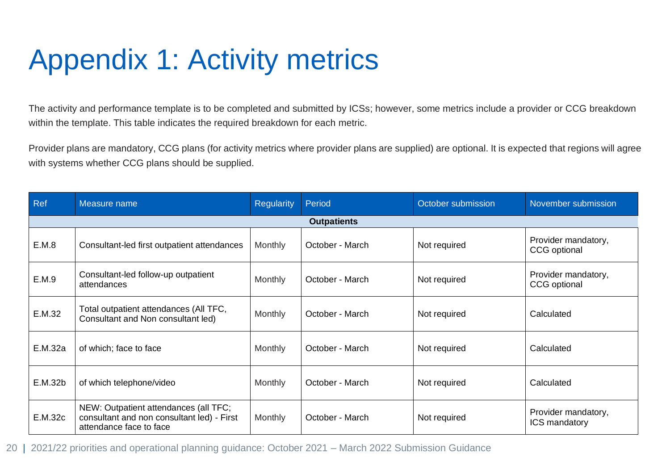# Appendix 1: Activity metrics

The activity and performance template is to be completed and submitted by ICSs; however, some metrics include a provider or CCG breakdown within the template. This table indicates the required breakdown for each metric.

Provider plans are mandatory, CCG plans (for activity metrics where provider plans are supplied) are optional. It is expected that regions will agree with systems whether CCG plans should be supplied.

<span id="page-19-0"></span>

| Ref     | Measure name                                                                                                   | <b>Regularity</b> | Period             | October submission | November submission                        |
|---------|----------------------------------------------------------------------------------------------------------------|-------------------|--------------------|--------------------|--------------------------------------------|
|         |                                                                                                                |                   | <b>Outpatients</b> |                    |                                            |
| E.M.8   | Consultant-led first outpatient attendances                                                                    | <b>Monthly</b>    | October - March    | Not required       | Provider mandatory,<br>CCG optional        |
| E.M.9   | Consultant-led follow-up outpatient<br>attendances                                                             | <b>Monthly</b>    | October - March    | Not required       | Provider mandatory,<br><b>CCG</b> optional |
| E.M.32  | Total outpatient attendances (All TFC,<br>Consultant and Non consultant led)                                   | <b>Monthly</b>    | October - March    | Not required       | Calculated                                 |
| E.M.32a | of which; face to face                                                                                         | <b>Monthly</b>    | October - March    | Not required       | Calculated                                 |
| E.M.32b | of which telephone/video                                                                                       | <b>Monthly</b>    | October - March    | Not required       | Calculated                                 |
| E.M.32c | NEW: Outpatient attendances (all TFC;<br>consultant and non consultant led) - First<br>attendance face to face | <b>Monthly</b>    | October - March    | Not required       | Provider mandatory,<br>ICS mandatory       |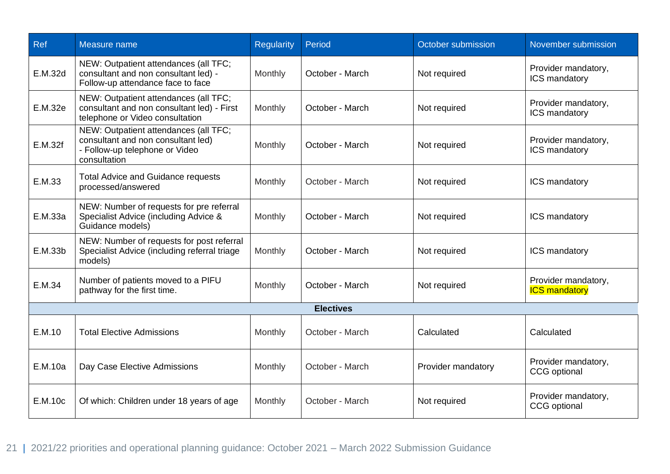| <b>Ref</b> | Measure name                                                                                                                  | <b>Regularity</b> | Period           | October submission | November submission                         |
|------------|-------------------------------------------------------------------------------------------------------------------------------|-------------------|------------------|--------------------|---------------------------------------------|
| E.M.32d    | NEW: Outpatient attendances (all TFC;<br>consultant and non consultant led) -<br>Follow-up attendance face to face            | Monthly           | October - March  | Not required       | Provider mandatory,<br>ICS mandatory        |
| E.M.32e    | NEW: Outpatient attendances (all TFC;<br>consultant and non consultant led) - First<br>telephone or Video consultation        | Monthly           | October - March  | Not required       | Provider mandatory,<br>ICS mandatory        |
| E.M.32f    | NEW: Outpatient attendances (all TFC;<br>consultant and non consultant led)<br>- Follow-up telephone or Video<br>consultation | Monthly           | October - March  | Not required       | Provider mandatory,<br>ICS mandatory        |
| E.M.33     | <b>Total Advice and Guidance requests</b><br>processed/answered                                                               | Monthly           | October - March  | Not required       | ICS mandatory                               |
| E.M.33a    | NEW: Number of requests for pre referral<br>Specialist Advice (including Advice &<br>Guidance models)                         | Monthly           | October - March  | Not required       | <b>ICS mandatory</b>                        |
| E.M.33b    | NEW: Number of requests for post referral<br>Specialist Advice (including referral triage<br>models)                          | Monthly           | October - March  | Not required       | ICS mandatory                               |
| E.M.34     | Number of patients moved to a PIFU<br>pathway for the first time.                                                             | Monthly           | October - March  | Not required       | Provider mandatory,<br><b>ICS mandatory</b> |
|            |                                                                                                                               |                   | <b>Electives</b> |                    |                                             |
| E.M.10     | <b>Total Elective Admissions</b>                                                                                              | Monthly           | October - March  | Calculated         | Calculated                                  |
| E.M.10a    | Day Case Elective Admissions                                                                                                  | Monthly           | October - March  | Provider mandatory | Provider mandatory,<br><b>CCG</b> optional  |
| E.M.10c    | Of which: Children under 18 years of age                                                                                      | Monthly           | October - March  | Not required       | Provider mandatory,<br><b>CCG</b> optional  |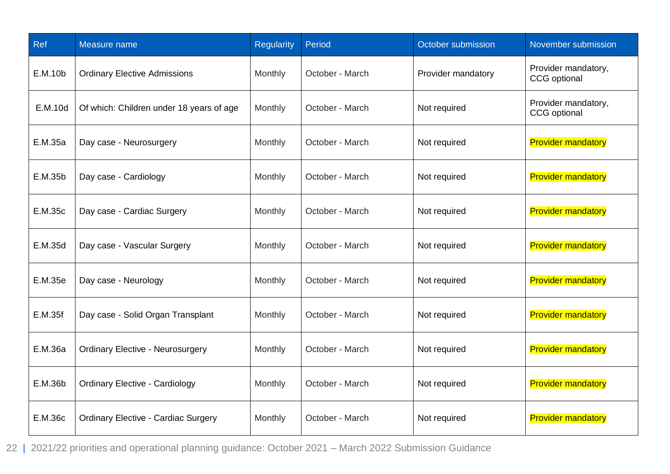| Ref     | Measure name                               | <b>Regularity</b> | Period          | October submission | November submission                        |
|---------|--------------------------------------------|-------------------|-----------------|--------------------|--------------------------------------------|
| E.M.10b | <b>Ordinary Elective Admissions</b>        | Monthly           | October - March | Provider mandatory | Provider mandatory,<br><b>CCG</b> optional |
| E.M.10d | Of which: Children under 18 years of age   | Monthly           | October - March | Not required       | Provider mandatory,<br><b>CCG</b> optional |
| E.M.35a | Day case - Neurosurgery                    | Monthly           | October - March | Not required       | <b>Provider mandatory</b>                  |
| E.M.35b | Day case - Cardiology                      | Monthly           | October - March | Not required       | <b>Provider mandatory</b>                  |
| E.M.35c | Day case - Cardiac Surgery                 | Monthly           | October - March | Not required       | <b>Provider mandatory</b>                  |
| E.M.35d | Day case - Vascular Surgery                | Monthly           | October - March | Not required       | <b>Provider mandatory</b>                  |
| E.M.35e | Day case - Neurology                       | Monthly           | October - March | Not required       | <b>Provider mandatory</b>                  |
| E.M.35f | Day case - Solid Organ Transplant          | Monthly           | October - March | Not required       | <b>Provider mandatory</b>                  |
| E.M.36a | <b>Ordinary Elective - Neurosurgery</b>    | Monthly           | October - March | Not required       | <b>Provider mandatory</b>                  |
| E.M.36b | <b>Ordinary Elective - Cardiology</b>      | Monthly           | October - March | Not required       | <b>Provider mandatory</b>                  |
| E.M.36c | <b>Ordinary Elective - Cardiac Surgery</b> | Monthly           | October - March | Not required       | <b>Provider mandatory</b>                  |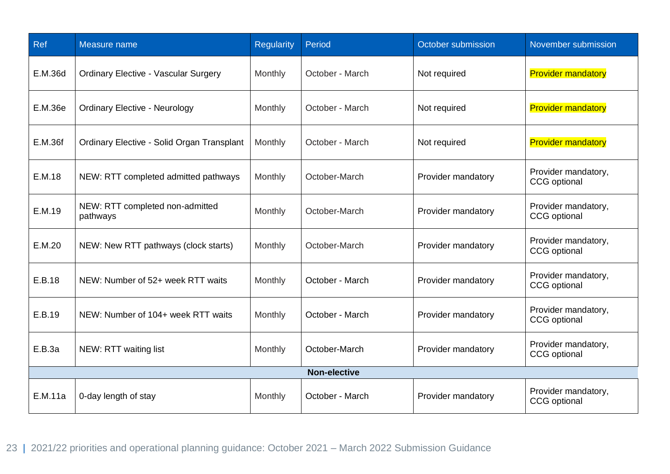| <b>Ref</b>          | Measure name                                | <b>Regularity</b> | Period          | October submission | November submission                        |  |
|---------------------|---------------------------------------------|-------------------|-----------------|--------------------|--------------------------------------------|--|
| E.M.36d             | <b>Ordinary Elective - Vascular Surgery</b> | Monthly           | October - March | Not required       | <b>Provider mandatory</b>                  |  |
| E.M.36e             | <b>Ordinary Elective - Neurology</b>        | Monthly           | October - March | Not required       | <b>Provider mandatory</b>                  |  |
| E.M.36f             | Ordinary Elective - Solid Organ Transplant  | Monthly           | October - March | Not required       | <b>Provider mandatory</b>                  |  |
| E.M.18              | NEW: RTT completed admitted pathways        | Monthly           | October-March   | Provider mandatory | Provider mandatory,<br><b>CCG</b> optional |  |
| E.M.19              | NEW: RTT completed non-admitted<br>pathways | Monthly           | October-March   | Provider mandatory | Provider mandatory,<br><b>CCG</b> optional |  |
| E.M.20              | NEW: New RTT pathways (clock starts)        | Monthly           | October-March   | Provider mandatory | Provider mandatory,<br><b>CCG</b> optional |  |
| E.B.18              | NEW: Number of 52+ week RTT waits           | Monthly           | October - March | Provider mandatory | Provider mandatory,<br>CCG optional        |  |
| E.B.19              | NEW: Number of 104+ week RTT waits          | Monthly           | October - March | Provider mandatory | Provider mandatory,<br><b>CCG</b> optional |  |
| E.B.3a              | NEW: RTT waiting list                       | Monthly           | October-March   | Provider mandatory | Provider mandatory,<br><b>CCG</b> optional |  |
| <b>Non-elective</b> |                                             |                   |                 |                    |                                            |  |
| E.M.11a             | 0-day length of stay                        | Monthly           | October - March | Provider mandatory | Provider mandatory,<br><b>CCG</b> optional |  |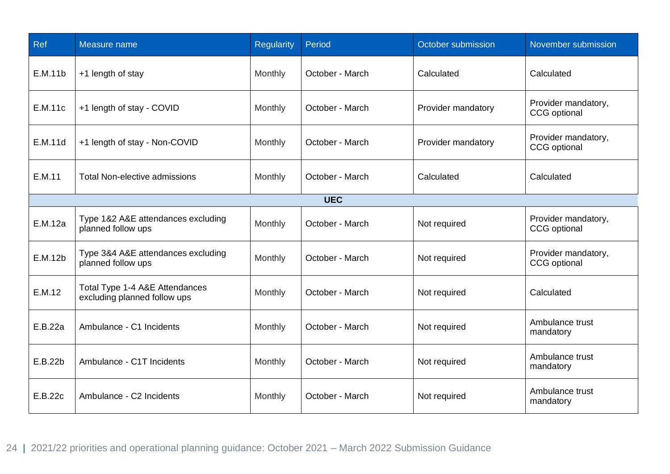| Ref     | Measure name                                                   | <b>Regularity</b> | Period          | October submission | November submission                        |
|---------|----------------------------------------------------------------|-------------------|-----------------|--------------------|--------------------------------------------|
| E.M.11b | +1 length of stay                                              | Monthly           | October - March | Calculated         | Calculated                                 |
| E.M.11c | +1 length of stay - COVID                                      | Monthly           | October - March | Provider mandatory | Provider mandatory,<br><b>CCG</b> optional |
| E.M.11d | +1 length of stay - Non-COVID                                  | Monthly           | October - March | Provider mandatory | Provider mandatory,<br>CCG optional        |
| E.M.11  | <b>Total Non-elective admissions</b>                           | Monthly           | October - March | Calculated         | Calculated                                 |
|         |                                                                |                   | <b>UEC</b>      |                    |                                            |
| E.M.12a | Type 1&2 A&E attendances excluding<br>planned follow ups       | Monthly           | October - March | Not required       | Provider mandatory,<br><b>CCG</b> optional |
| E.M.12b | Type 3&4 A&E attendances excluding<br>planned follow ups       | Monthly           | October - March | Not required       | Provider mandatory,<br><b>CCG</b> optional |
| E.M.12  | Total Type 1-4 A&E Attendances<br>excluding planned follow ups | Monthly           | October - March | Not required       | Calculated                                 |
| E.B.22a | Ambulance - C1 Incidents                                       | Monthly           | October - March | Not required       | Ambulance trust<br>mandatory               |
| E.B.22b | Ambulance - C1T Incidents                                      | Monthly           | October - March | Not required       | Ambulance trust<br>mandatory               |
| E.B.22c | Ambulance - C2 Incidents                                       | Monthly           | October - March | Not required       | Ambulance trust<br>mandatory               |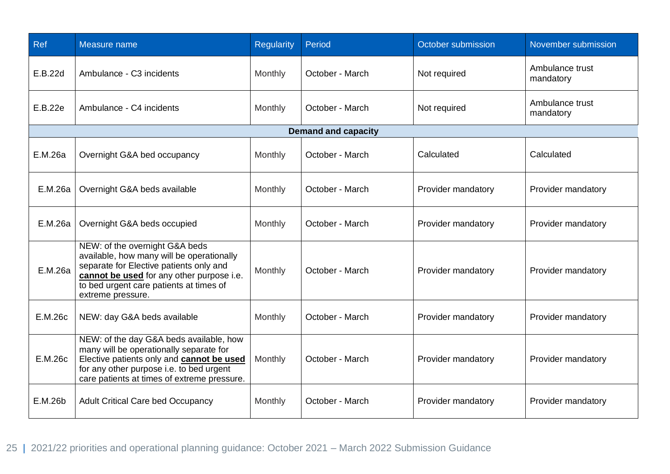| Ref     | Measure name                                                                                                                                                                                                                        | <b>Regularity</b> | Period                     | October submission | November submission          |
|---------|-------------------------------------------------------------------------------------------------------------------------------------------------------------------------------------------------------------------------------------|-------------------|----------------------------|--------------------|------------------------------|
| E.B.22d | Ambulance - C3 incidents                                                                                                                                                                                                            | Monthly           | October - March            | Not required       | Ambulance trust<br>mandatory |
| E.B.22e | Ambulance - C4 incidents                                                                                                                                                                                                            | Monthly           | October - March            | Not required       | Ambulance trust<br>mandatory |
|         |                                                                                                                                                                                                                                     |                   | <b>Demand and capacity</b> |                    |                              |
| E.M.26a | Overnight G&A bed occupancy                                                                                                                                                                                                         | Monthly           | October - March            | Calculated         | Calculated                   |
| E.M.26a | Overnight G&A beds available                                                                                                                                                                                                        | Monthly           | October - March            | Provider mandatory | Provider mandatory           |
| E.M.26a | Overnight G&A beds occupied                                                                                                                                                                                                         | Monthly           | October - March            | Provider mandatory | Provider mandatory           |
| E.M.26a | NEW: of the overnight G&A beds<br>available, how many will be operationally<br>separate for Elective patients only and<br>cannot be used for any other purpose i.e.<br>to bed urgent care patients at times of<br>extreme pressure. | Monthly           | October - March            | Provider mandatory | Provider mandatory           |
| E.M.26c | NEW: day G&A beds available                                                                                                                                                                                                         | Monthly           | October - March            | Provider mandatory | Provider mandatory           |
| E.M.26c | NEW: of the day G&A beds available, how<br>many will be operationally separate for<br>Elective patients only and cannot be used<br>for any other purpose i.e. to bed urgent<br>care patients at times of extreme pressure.          | Monthly           | October - March            | Provider mandatory | Provider mandatory           |
| E.M.26b | <b>Adult Critical Care bed Occupancy</b>                                                                                                                                                                                            | Monthly           | October - March            | Provider mandatory | Provider mandatory           |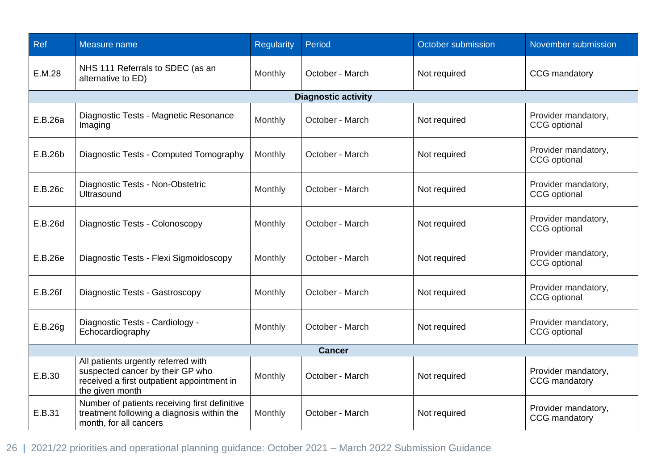| Ref           | Measure name                                                                                                                             | <b>Regularity</b> | Period                     | October submission | November submission                        |  |
|---------------|------------------------------------------------------------------------------------------------------------------------------------------|-------------------|----------------------------|--------------------|--------------------------------------------|--|
| E.M.28        | NHS 111 Referrals to SDEC (as an<br>alternative to ED)                                                                                   | Monthly           | October - March            | Not required       | CCG mandatory                              |  |
|               |                                                                                                                                          |                   | <b>Diagnostic activity</b> |                    |                                            |  |
| E.B.26a       | Diagnostic Tests - Magnetic Resonance<br>Imaging                                                                                         | Monthly           | October - March            | Not required       | Provider mandatory,<br><b>CCG</b> optional |  |
| E.B.26b       | Diagnostic Tests - Computed Tomography                                                                                                   | Monthly           | October - March            | Not required       | Provider mandatory,<br><b>CCG</b> optional |  |
| E.B.26c       | Diagnostic Tests - Non-Obstetric<br><b>Ultrasound</b>                                                                                    | Monthly           | October - March            | Not required       | Provider mandatory,<br><b>CCG</b> optional |  |
| E.B.26d       | Diagnostic Tests - Colonoscopy                                                                                                           | Monthly           | October - March            | Not required       | Provider mandatory,<br><b>CCG</b> optional |  |
| E.B.26e       | Diagnostic Tests - Flexi Sigmoidoscopy                                                                                                   | Monthly           | October - March            | Not required       | Provider mandatory,<br><b>CCG</b> optional |  |
| E.B.26f       | Diagnostic Tests - Gastroscopy                                                                                                           | Monthly           | October - March            | Not required       | Provider mandatory,<br><b>CCG</b> optional |  |
| E.B.26g       | Diagnostic Tests - Cardiology -<br>Echocardiography                                                                                      | Monthly           | October - March            | Not required       | Provider mandatory,<br><b>CCG</b> optional |  |
| <b>Cancer</b> |                                                                                                                                          |                   |                            |                    |                                            |  |
| E.B.30        | All patients urgently referred with<br>suspected cancer by their GP who<br>received a first outpatient appointment in<br>the given month | Monthly           | October - March            | Not required       | Provider mandatory,<br>CCG mandatory       |  |
| E.B.31        | Number of patients receiving first definitive<br>treatment following a diagnosis within the<br>month, for all cancers                    | Monthly           | October - March            | Not required       | Provider mandatory,<br>CCG mandatory       |  |